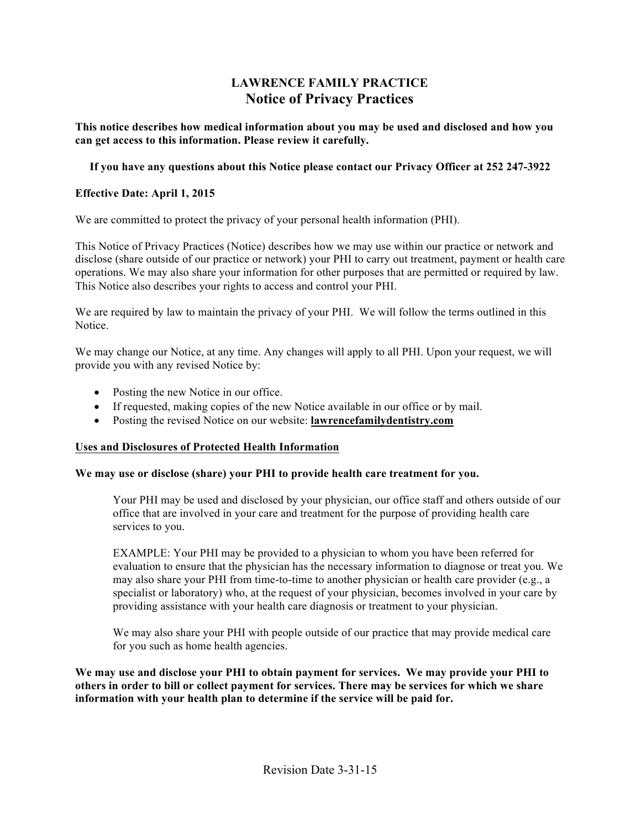# **LAWRENCE FAMILY PRACTICE Notice of Privacy Practices**

**This notice describes how medical information about you may be used and disclosed and how you can get access to this information. Please review it carefully.** 

## **If you have any questions about this Notice please contact our Privacy Officer at 252 247-3922**

## **Effective Date: April 1, 2015**

We are committed to protect the privacy of your personal health information (PHI).

This Notice of Privacy Practices (Notice) describes how we may use within our practice or network and disclose (share outside of our practice or network) your PHI to carry out treatment, payment or health care operations. We may also share your information for other purposes that are permitted or required by law. This Notice also describes your rights to access and control your PHI.

We are required by law to maintain the privacy of your PHI. We will follow the terms outlined in this Notice.

We may change our Notice, at any time. Any changes will apply to all PHI. Upon your request, we will provide you with any revised Notice by:

- Posting the new Notice in our office.
- If requested, making copies of the new Notice available in our office or by mail.
- Posting the revised Notice on our website: **lawrencefamilydentistry.com**

#### **Uses and Disclosures of Protected Health Information**

#### **We may use or disclose (share) your PHI to provide health care treatment for you.**

Your PHI may be used and disclosed by your physician, our office staff and others outside of our office that are involved in your care and treatment for the purpose of providing health care services to you.

EXAMPLE: Your PHI may be provided to a physician to whom you have been referred for evaluation to ensure that the physician has the necessary information to diagnose or treat you. We may also share your PHI from time-to-time to another physician or health care provider (e.g., a specialist or laboratory) who, at the request of your physician, becomes involved in your care by providing assistance with your health care diagnosis or treatment to your physician.

We may also share your PHI with people outside of our practice that may provide medical care for you such as home health agencies.

**We may use and disclose your PHI to obtain payment for services. We may provide your PHI to others in order to bill or collect payment for services. There may be services for which we share information with your health plan to determine if the service will be paid for.**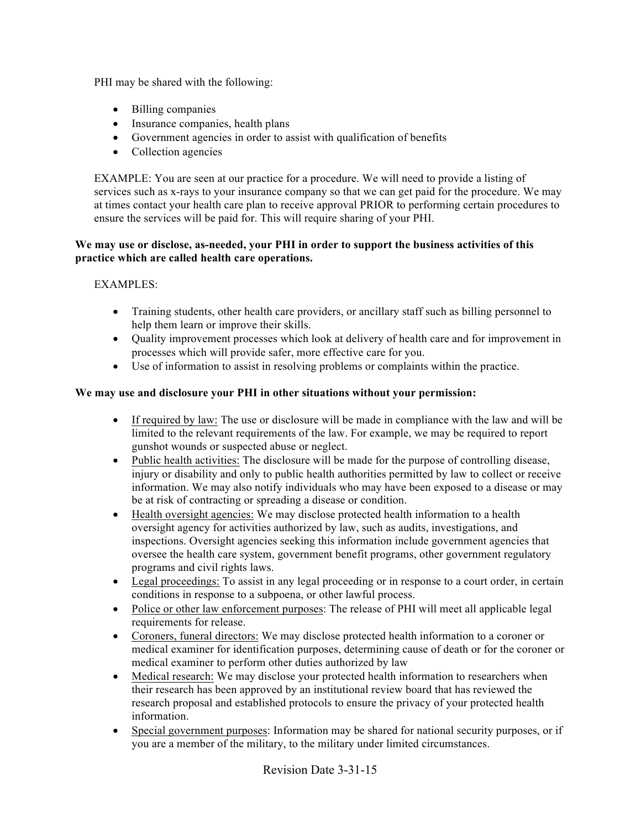PHI may be shared with the following:

- Billing companies
- Insurance companies, health plans
- Government agencies in order to assist with qualification of benefits
- Collection agencies

EXAMPLE: You are seen at our practice for a procedure. We will need to provide a listing of services such as x-rays to your insurance company so that we can get paid for the procedure. We may at times contact your health care plan to receive approval PRIOR to performing certain procedures to ensure the services will be paid for. This will require sharing of your PHI.

## **We may use or disclose, as-needed, your PHI in order to support the business activities of this practice which are called health care operations.**

# EXAMPLES:

- Training students, other health care providers, or ancillary staff such as billing personnel to help them learn or improve their skills.
- Quality improvement processes which look at delivery of health care and for improvement in processes which will provide safer, more effective care for you.
- Use of information to assist in resolving problems or complaints within the practice.

# **We may use and disclosure your PHI in other situations without your permission:**

- If required by law: The use or disclosure will be made in compliance with the law and will be limited to the relevant requirements of the law. For example, we may be required to report gunshot wounds or suspected abuse or neglect.
- Public health activities: The disclosure will be made for the purpose of controlling disease, injury or disability and only to public health authorities permitted by law to collect or receive information. We may also notify individuals who may have been exposed to a disease or may be at risk of contracting or spreading a disease or condition.
- Health oversight agencies: We may disclose protected health information to a health oversight agency for activities authorized by law, such as audits, investigations, and inspections. Oversight agencies seeking this information include government agencies that oversee the health care system, government benefit programs, other government regulatory programs and civil rights laws.
- Legal proceedings: To assist in any legal proceeding or in response to a court order, in certain conditions in response to a subpoena, or other lawful process.
- Police or other law enforcement purposes: The release of PHI will meet all applicable legal requirements for release.
- Coroners, funeral directors: We may disclose protected health information to a coroner or medical examiner for identification purposes, determining cause of death or for the coroner or medical examiner to perform other duties authorized by law
- Medical research: We may disclose your protected health information to researchers when their research has been approved by an institutional review board that has reviewed the research proposal and established protocols to ensure the privacy of your protected health information.
- Special government purposes: Information may be shared for national security purposes, or if you are a member of the military, to the military under limited circumstances.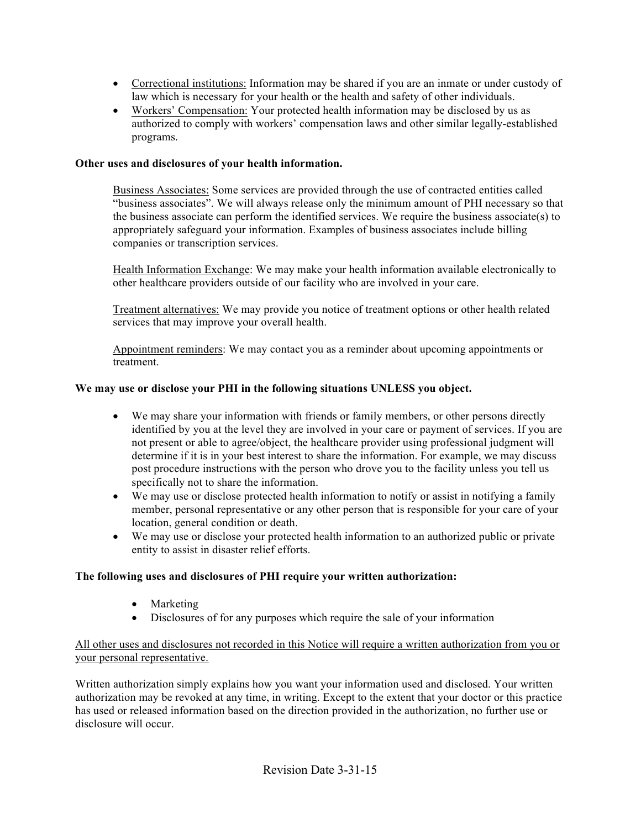- Correctional institutions: Information may be shared if you are an inmate or under custody of law which is necessary for your health or the health and safety of other individuals.
- Workers' Compensation: Your protected health information may be disclosed by us as authorized to comply with workers' compensation laws and other similar legally-established programs.

## **Other uses and disclosures of your health information.**

Business Associates: Some services are provided through the use of contracted entities called "business associates". We will always release only the minimum amount of PHI necessary so that the business associate can perform the identified services. We require the business associate(s) to appropriately safeguard your information. Examples of business associates include billing companies or transcription services.

Health Information Exchange: We may make your health information available electronically to other healthcare providers outside of our facility who are involved in your care.

Treatment alternatives: We may provide you notice of treatment options or other health related services that may improve your overall health.

Appointment reminders: We may contact you as a reminder about upcoming appointments or treatment.

### **We may use or disclose your PHI in the following situations UNLESS you object.**

- We may share your information with friends or family members, or other persons directly identified by you at the level they are involved in your care or payment of services. If you are not present or able to agree/object, the healthcare provider using professional judgment will determine if it is in your best interest to share the information. For example, we may discuss post procedure instructions with the person who drove you to the facility unless you tell us specifically not to share the information.
- We may use or disclose protected health information to notify or assist in notifying a family member, personal representative or any other person that is responsible for your care of your location, general condition or death.
- We may use or disclose your protected health information to an authorized public or private entity to assist in disaster relief efforts.

### **The following uses and disclosures of PHI require your written authorization:**

- Marketing
- Disclosures of for any purposes which require the sale of your information

### All other uses and disclosures not recorded in this Notice will require a written authorization from you or your personal representative.

Written authorization simply explains how you want your information used and disclosed. Your written authorization may be revoked at any time, in writing. Except to the extent that your doctor or this practice has used or released information based on the direction provided in the authorization, no further use or disclosure will occur.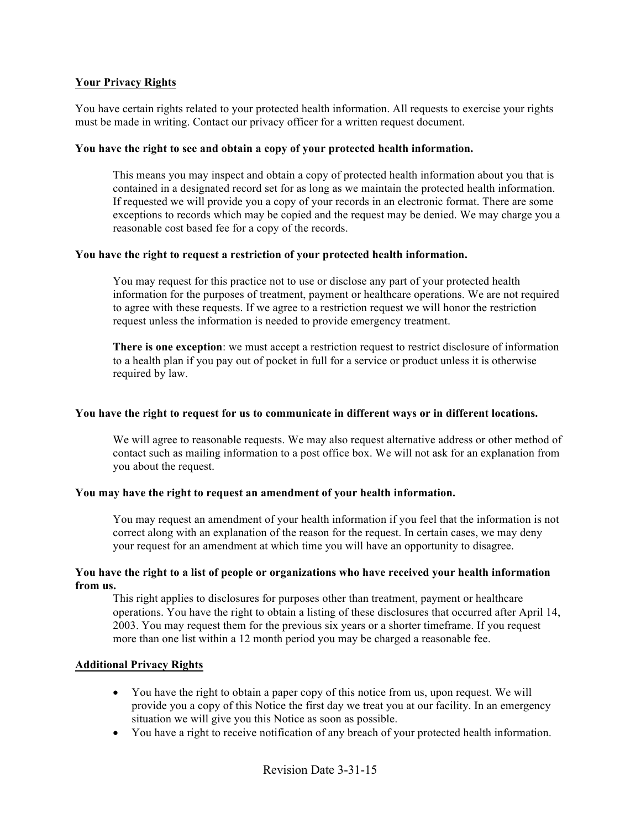## **Your Privacy Rights**

You have certain rights related to your protected health information. All requests to exercise your rights must be made in writing. Contact our privacy officer for a written request document.

#### **You have the right to see and obtain a copy of your protected health information.**

This means you may inspect and obtain a copy of protected health information about you that is contained in a designated record set for as long as we maintain the protected health information. If requested we will provide you a copy of your records in an electronic format. There are some exceptions to records which may be copied and the request may be denied. We may charge you a reasonable cost based fee for a copy of the records.

### **You have the right to request a restriction of your protected health information.**

You may request for this practice not to use or disclose any part of your protected health information for the purposes of treatment, payment or healthcare operations. We are not required to agree with these requests. If we agree to a restriction request we will honor the restriction request unless the information is needed to provide emergency treatment.

**There is one exception**: we must accept a restriction request to restrict disclosure of information to a health plan if you pay out of pocket in full for a service or product unless it is otherwise required by law.

#### **You have the right to request for us to communicate in different ways or in different locations.**

We will agree to reasonable requests. We may also request alternative address or other method of contact such as mailing information to a post office box. We will not ask for an explanation from you about the request.

### **You may have the right to request an amendment of your health information.**

You may request an amendment of your health information if you feel that the information is not correct along with an explanation of the reason for the request. In certain cases, we may deny your request for an amendment at which time you will have an opportunity to disagree.

#### **You have the right to a list of people or organizations who have received your health information from us.**

This right applies to disclosures for purposes other than treatment, payment or healthcare operations. You have the right to obtain a listing of these disclosures that occurred after April 14, 2003. You may request them for the previous six years or a shorter timeframe. If you request more than one list within a 12 month period you may be charged a reasonable fee.

### **Additional Privacy Rights**

- You have the right to obtain a paper copy of this notice from us, upon request. We will provide you a copy of this Notice the first day we treat you at our facility. In an emergency situation we will give you this Notice as soon as possible.
- You have a right to receive notification of any breach of your protected health information.